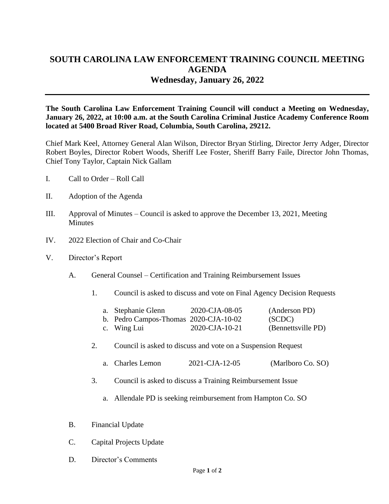## **SOUTH CAROLINA LAW ENFORCEMENT TRAINING COUNCIL MEETING AGENDA Wednesday, January 26, 2022**

**The South Carolina Law Enforcement Training Council will conduct a Meeting on Wednesday, January 26, 2022, at 10:00 a.m. at the South Carolina Criminal Justice Academy Conference Room located at 5400 Broad River Road, Columbia, South Carolina, 29212.** 

Chief Mark Keel, Attorney General Alan Wilson, Director Bryan Stirling, Director Jerry Adger, Director Robert Boyles, Director Robert Woods, Sheriff Lee Foster, Sheriff Barry Faile, Director John Thomas, Chief Tony Taylor, Captain Nick Gallam

- I. Call to Order Roll Call
- II. Adoption of the Agenda
- III. Approval of Minutes Council is asked to approve the December 13, 2021, Meeting **Minutes**
- IV. 2022 Election of Chair and Co-Chair
- V. Director's Report
	- A. General Counsel Certification and Training Reimbursement Issues
		- 1. Council is asked to discuss and vote on Final Agency Decision Requests

| a. Stephanie Glenn                    | 2020-CJA-08-05 | (Anderson PD)      |
|---------------------------------------|----------------|--------------------|
| b. Pedro Campos-Thomas 2020-CJA-10-02 |                | (SCDC)             |
| c. Wing Lui                           | 2020-CJA-10-21 | (Bennettsville PD) |

- 2. Council is asked to discuss and vote on a Suspension Request
	- a. Charles Lemon 2021-CJA-12-05 (Marlboro Co. SO)
- 3. Council is asked to discuss a Training Reimbursement Issue
	- a. Allendale PD is seeking reimbursement from Hampton Co. SO
- B. Financial Update
- C. Capital Projects Update
- D. Director's Comments